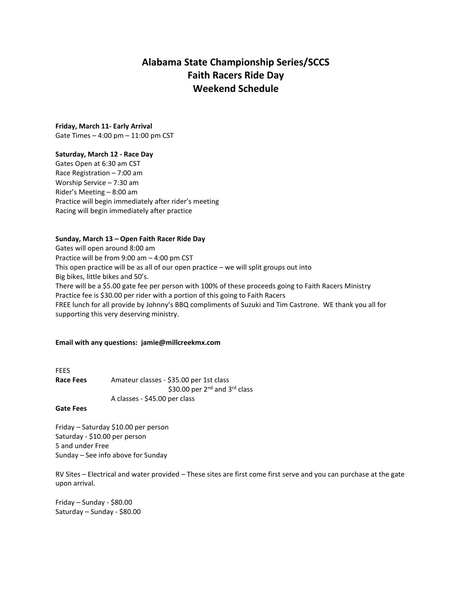# **Alabama State Championship Series/SCCS Faith Racers Ride Day Weekend Schedule**

# **Friday, March 11- Early Arrival**

Gate Times – 4:00 pm – 11:00 pm CST

#### **Saturday, March 12 - Race Day**

Gates Open at 6:30 am CST Race Registration – 7:00 am Worship Service – 7:30 am Rider's Meeting – 8:00 am Practice will begin immediately after rider's meeting Racing will begin immediately after practice

## **Sunday, March 13 – Open Faith Racer Ride Day**

Gates will open around 8:00 am Practice will be from 9:00 am – 4:00 pm CST This open practice will be as all of our open practice – we will split groups out into Big bikes, little bikes and 50's. There will be a \$5.00 gate fee per person with 100% of these proceeds going to Faith Racers Ministry Practice fee is \$30.00 per rider with a portion of this going to Faith Racers FREE lunch for all provide by Johnny's BBQ compliments of Suzuki and Tim Castrone. WE thank you all for supporting this very deserving ministry.

### **Email with any questions: jamie@millcreekmx.com**

FEES Race Fees Amateur classes - \$35.00 per 1st class \$30.00 per 2<sup>nd</sup> and 3<sup>rd</sup> class A classes - \$45.00 per class

#### **Gate Fees**

Friday – Saturday \$10.00 per person Saturday - \$10.00 per person 5 and under Free Sunday – See info above for Sunday

RV Sites – Electrical and water provided – These sites are first come first serve and you can purchase at the gate upon arrival.

Friday – Sunday - \$80.00 Saturday – Sunday - \$80.00